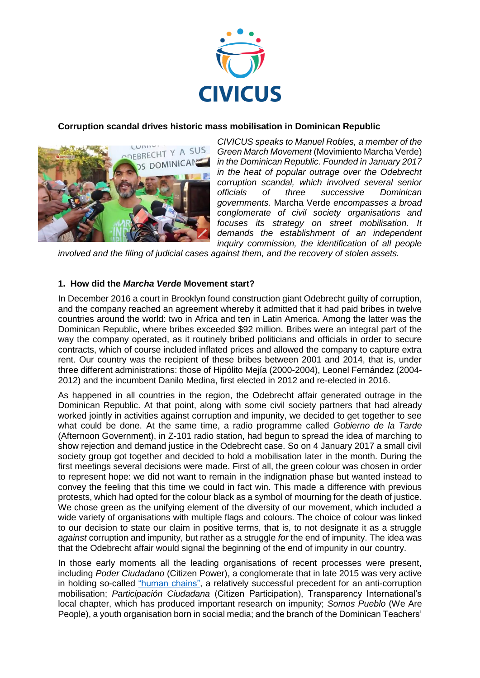

# **Corruption scandal drives historic mass mobilisation in Dominican Republic**



*CIVICUS speaks to Manuel Robles, a member of the Green March Movement* (Movimiento Marcha Verde) *in the Dominican Republic. Founded in January 2017 in the heat of popular outrage over the Odebrecht corruption scandal, which involved several senior officials of three successive Dominican governments.* Marcha Verde *encompasses a broad conglomerate of civil society organisations and focuses its strategy on street mobilisation. It demands the establishment of an independent inquiry commission, the identification of all people* 

*involved and the filing of judicial cases against them, and the recovery of stolen assets.*

#### **1. How did the** *Marcha Verde* **Movement start?**

In December 2016 a court in Brooklyn found construction giant Odebrecht guilty of corruption, and the company reached an agreement whereby it admitted that it had paid bribes in twelve countries around the world: two in Africa and ten in Latin America. Among the latter was the Dominican Republic, where bribes exceeded \$92 million. Bribes were an integral part of the way the company operated, as it routinely bribed politicians and officials in order to secure contracts, which of course included inflated prices and allowed the company to capture extra rent. Our country was the recipient of these bribes between 2001 and 2014, that is, under three different administrations: those of Hipólito Mejía (2000-2004), Leonel Fernández (2004- 2012) and the incumbent Danilo Medina, first elected in 2012 and re-elected in 2016.

As happened in all countries in the region, the Odebrecht affair generated outrage in the Dominican Republic. At that point, along with some civil society partners that had already worked jointly in activities against corruption and impunity, we decided to get together to see what could be done. At the same time, a radio programme called *Gobierno de la Tarde*  (Afternoon Government), in Z-101 radio station, had begun to spread the idea of marching to show rejection and demand justice in the Odebrecht case. So on 4 January 2017 a small civil society group got together and decided to hold a mobilisation later in the month. During the first meetings several decisions were made. First of all, the green colour was chosen in order to represent hope: we did not want to remain in the indignation phase but wanted instead to convey the feeling that this time we could in fact win. This made a difference with previous protests, which had opted for the colour black as a symbol of mourning for the death of justice. We chose green as the unifying element of the diversity of our movement, which included a wide variety of organisations with multiple flags and colours. The choice of colour was linked to our decision to state our claim in positive terms, that is, to not designate it as a struggle *against* corruption and impunity, but rather as a struggle *for* the end of impunity. The idea was that the Odebrecht affair would signal the beginning of the end of impunity in our country.

In those early moments all the leading organisations of recent processes were present, including *Poder Ciudadano* (Citizen Power), a conglomerate that in late 2015 was very active in holding so-called ["human chains",](http://eldia.com.do/cadena-humana-llega-sorpresivamente-a-la-oisoe/) a relatively successful precedent for an anti-corruption mobilisation; *Participación Ciudadana* (Citizen Participation), Transparency International's local chapter, which has produced important research on impunity; *Somos Pueblo* (We Are People), a youth organisation born in social media; and the branch of the Dominican Teachers'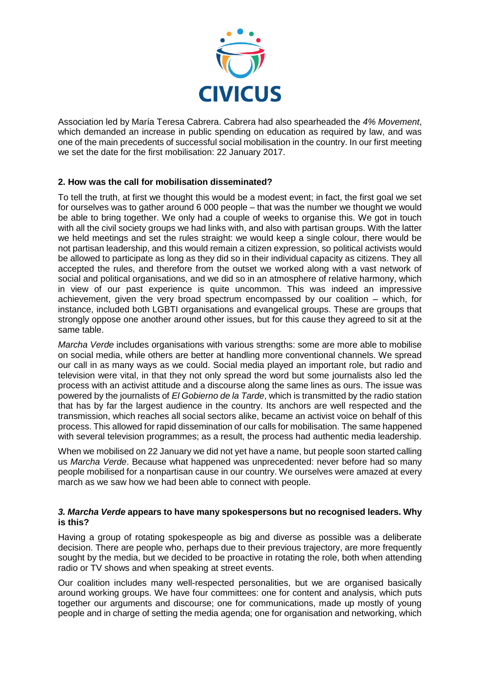

Association led by María Teresa Cabrera. Cabrera had also spearheaded the *4% Movement*, which demanded an increase in public spending on education as required by law, and was one of the main precedents of successful social mobilisation in the country. In our first meeting we set the date for the first mobilisation: 22 January 2017.

# **2. How was the call for mobilisation disseminated?**

To tell the truth, at first we thought this would be a modest event; in fact, the first goal we set for ourselves was to gather around 6 000 people – that was the number we thought we would be able to bring together. We only had a couple of weeks to organise this. We got in touch with all the civil society groups we had links with, and also with partisan groups. With the latter we held meetings and set the rules straight: we would keep a single colour, there would be not partisan leadership, and this would remain a citizen expression, so political activists would be allowed to participate as long as they did so in their individual capacity as citizens. They all accepted the rules, and therefore from the outset we worked along with a vast network of social and political organisations, and we did so in an atmosphere of relative harmony, which in view of our past experience is quite uncommon. This was indeed an impressive achievement, given the very broad spectrum encompassed by our coalition – which, for instance, included both LGBTI organisations and evangelical groups. These are groups that strongly oppose one another around other issues, but for this cause they agreed to sit at the same table.

*Marcha Verde* includes organisations with various strengths: some are more able to mobilise on social media, while others are better at handling more conventional channels. We spread our call in as many ways as we could. Social media played an important role, but radio and television were vital, in that they not only spread the word but some journalists also led the process with an activist attitude and a discourse along the same lines as ours. The issue was powered by the journalists of *El Gobierno de la Tarde*, which is transmitted by the radio station that has by far the largest audience in the country. Its anchors are well respected and the transmission, which reaches all social sectors alike, became an activist voice on behalf of this process. This allowed for rapid dissemination of our calls for mobilisation. The same happened with several television programmes; as a result, the process had authentic media leadership.

When we mobilised on 22 January we did not yet have a name, but people soon started calling us *Marcha Verde*. Because what happened was unprecedented: never before had so many people mobilised for a nonpartisan cause in our country. We ourselves were amazed at every march as we saw how we had been able to connect with people.

### *3. Marcha Verde* **appears to have many spokespersons but no recognised leaders. Why is this?**

Having a group of rotating spokespeople as big and diverse as possible was a deliberate decision. There are people who, perhaps due to their previous trajectory, are more frequently sought by the media, but we decided to be proactive in rotating the role, both when attending radio or TV shows and when speaking at street events.

Our coalition includes many well-respected personalities, but we are organised basically around working groups. We have four committees: one for content and analysis, which puts together our arguments and discourse; one for communications, made up mostly of young people and in charge of setting the media agenda; one for organisation and networking, which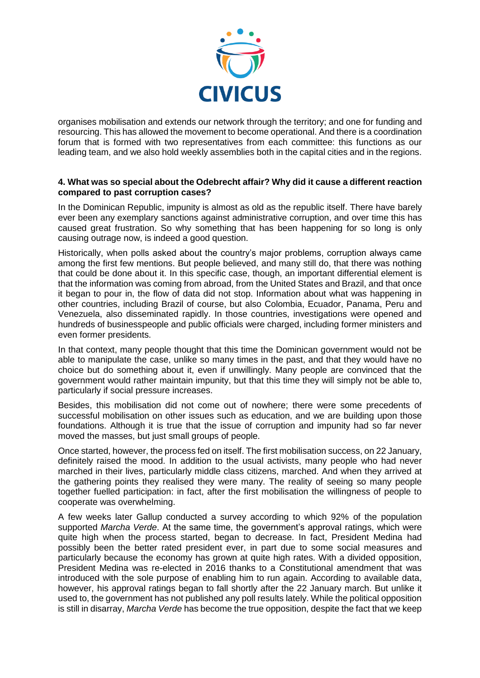

organises mobilisation and extends our network through the territory; and one for funding and resourcing. This has allowed the movement to become operational. And there is a coordination forum that is formed with two representatives from each committee: this functions as our leading team, and we also hold weekly assemblies both in the capital cities and in the regions.

# **4. What was so special about the Odebrecht affair? Why did it cause a different reaction compared to past corruption cases?**

In the Dominican Republic, impunity is almost as old as the republic itself. There have barely ever been any exemplary sanctions against administrative corruption, and over time this has caused great frustration. So why something that has been happening for so long is only causing outrage now, is indeed a good question.

Historically, when polls asked about the country's major problems, corruption always came among the first few mentions. But people believed, and many still do, that there was nothing that could be done about it. In this specific case, though, an important differential element is that the information was coming from abroad, from the United States and Brazil, and that once it began to pour in, the flow of data did not stop. Information about what was happening in other countries, including Brazil of course, but also Colombia, Ecuador, Panama, Peru and Venezuela, also disseminated rapidly. In those countries, investigations were opened and hundreds of businesspeople and public officials were charged, including former ministers and even former presidents.

In that context, many people thought that this time the Dominican government would not be able to manipulate the case, unlike so many times in the past, and that they would have no choice but do something about it, even if unwillingly. Many people are convinced that the government would rather maintain impunity, but that this time they will simply not be able to, particularly if social pressure increases.

Besides, this mobilisation did not come out of nowhere; there were some precedents of successful mobilisation on other issues such as education, and we are building upon those foundations. Although it is true that the issue of corruption and impunity had so far never moved the masses, but just small groups of people.

Once started, however, the process fed on itself. The first mobilisation success, on 22 January, definitely raised the mood. In addition to the usual activists, many people who had never marched in their lives, particularly middle class citizens, marched. And when they arrived at the gathering points they realised they were many. The reality of seeing so many people together fuelled participation: in fact, after the first mobilisation the willingness of people to cooperate was overwhelming.

A few weeks later Gallup conducted a survey according to which 92% of the population supported *Marcha Verde*. At the same time, the government's approval ratings, which were quite high when the process started, began to decrease. In fact, President Medina had possibly been the better rated president ever, in part due to some social measures and particularly because the economy has grown at quite high rates. With a divided opposition, President Medina was re-elected in 2016 thanks to a Constitutional amendment that was introduced with the sole purpose of enabling him to run again. According to available data, however, his approval ratings began to fall shortly after the 22 January march. But unlike it used to, the government has not published any poll results lately. While the political opposition is still in disarray, *Marcha Verde* has become the true opposition, despite the fact that we keep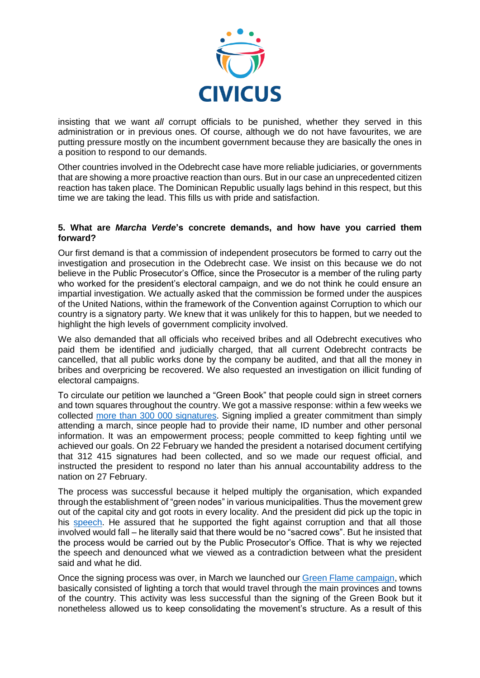

insisting that we want *all* corrupt officials to be punished, whether they served in this administration or in previous ones. Of course, although we do not have favourites, we are putting pressure mostly on the incumbent government because they are basically the ones in a position to respond to our demands.

Other countries involved in the Odebrecht case have more reliable judiciaries, or governments that are showing a more proactive reaction than ours. But in our case an unprecedented citizen reaction has taken place. The Dominican Republic usually lags behind in this respect, but this time we are taking the lead. This fills us with pride and satisfaction.

# **5. What are** *Marcha Verde***'s concrete demands, and how have you carried them forward?**

Our first demand is that a commission of independent prosecutors be formed to carry out the investigation and prosecution in the Odebrecht case. We insist on this because we do not believe in the Public Prosecutor's Office, since the Prosecutor is a member of the ruling party who worked for the president's electoral campaign, and we do not think he could ensure an impartial investigation. We actually asked that the commission be formed under the auspices of the United Nations, within the framework of the Convention against Corruption to which our country is a signatory party. We knew that it was unlikely for this to happen, but we needed to highlight the high levels of government complicity involved.

We also demanded that all officials who received bribes and all Odebrecht executives who paid them be identified and judicially charged, that all current Odebrecht contracts be cancelled, that all public works done by the company be audited, and that all the money in bribes and overpricing be recovered. We also requested an investigation on illicit funding of electoral campaigns.

To circulate our petition we launched a "Green Book" that people could sign in street corners and town squares throughout the country. We got a massive response: within a few weeks we collected more than 300 [000 signatures.](https://listindiario.com/la-republica/2017/02/23/455279/firmas-del-libro-verde-llegan-a-palacio-nacional) Signing implied a greater commitment than simply attending a march, since people had to provide their name, ID number and other personal information. It was an empowerment process; people committed to keep fighting until we achieved our goals. On 22 February we handed the president a notarised document certifying that 312 415 signatures had been collected, and so we made our request official, and instructed the president to respond no later than his annual accountability address to the nation on 27 February.

The process was successful because it helped multiply the organisation, which expanded through the establishment of "green nodes" in various municipalities. Thus the movement grew out of the capital city and got roots in every locality. And the president did pick up the topic in his [speech.](http://eldia.com.do/discurso-integro-del-presidente-danilo-medina/) He assured that he supported the fight against corruption and that all those involved would fall – he literally said that there would be no "sacred cows". But he insisted that the process would be carried out by the Public Prosecutor's Office. That is why we rejected the speech and denounced what we viewed as a contradiction between what the president said and what he did.

Once the signing process was over, in March we launched our [Green Flame campaign,](http://acento.com.do/2017/actualidad/8439642-llama-verde-ilumina-republica-dominicana-exigir-justicia-caso-corrupcion-odebrecht/) which basically consisted of lighting a torch that would travel through the main provinces and towns of the country. This activity was less successful than the signing of the Green Book but it nonetheless allowed us to keep consolidating the movement's structure. As a result of this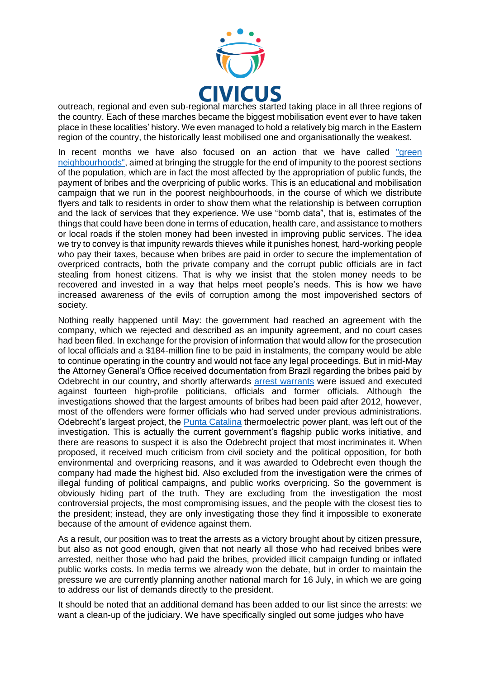

outreach, regional and even sub-regional marches started taking place in all three regions of the country. Each of these marches became the biggest mobilisation event ever to have taken place in these localities' history. We even managed to hold a relatively big march in the Eastern region of the country, the historically least mobilised one and organisationally the weakest.

In recent months we have also focused on an action that we have called "green [neighbourhoods",](https://www.metrord.do/do/noticias/2017/06/25/los-tres-brazos-demas-barrios-sde-se-unen-protestar-la-corrupcion.html) aimed at bringing the struggle for the end of impunity to the poorest sections of the population, which are in fact the most affected by the appropriation of public funds, the payment of bribes and the overpricing of public works. This is an educational and mobilisation campaign that we run in the poorest neighbourhoods, in the course of which we distribute flyers and talk to residents in order to show them what the relationship is between corruption and the lack of services that they experience. We use "bomb data", that is, estimates of the things that could have been done in terms of education, health care, and assistance to mothers or local roads if the stolen money had been invested in improving public services. The idea we try to convey is that impunity rewards thieves while it punishes honest, hard-working people who pay their taxes, because when bribes are paid in order to secure the implementation of overpriced contracts, both the private company and the corrupt public officials are in fact stealing from honest citizens. That is why we insist that the stolen money needs to be recovered and invested in a way that helps meet people's needs. This is how we have increased awareness of the evils of corruption among the most impoverished sectors of society.

Nothing really happened until May: the government had reached an agreement with the company, which we rejected and described as an impunity agreement, and no court cases had been filed. In exchange for the provision of information that would allow for the prosecution of local officials and a \$184-million fine to be paid in instalments, the company would be able to continue operating in the country and would not face any legal proceedings. But in mid-May the Attorney General's Office received documentation from Brazil regarding the bribes paid by Odebrecht in our country, and shortly afterwards [arrest warrants](http://cnnespanol.cnn.com/2017/05/29/arrestan-a-6-exfuncionarios-de-republica-dominicana-por-investigacion-de-odebrecht/) were issued and executed against fourteen high-profile politicians, officials and former officials. Although the investigations showed that the largest amounts of bribes had been paid after 2012, however, most of the offenders were former officials who had served under previous administrations. Odebrecht's largest project, the [Punta Catalina](https://www.metrord.do/do/destacado/2017/06/01/pta-catalina-obra-maestra-de-sobornos-por-odebrecht.html) thermoelectric power plant, was left out of the investigation. This is actually the current government's flagship public works initiative, and there are reasons to suspect it is also the Odebrecht project that most incriminates it. When proposed, it received much criticism from civil society and the political opposition, for both environmental and overpricing reasons, and it was awarded to Odebrecht even though the company had made the highest bid. Also excluded from the investigation were the crimes of illegal funding of political campaigns, and public works overpricing. So the government is obviously hiding part of the truth. They are excluding from the investigation the most controversial projects, the most compromising issues, and the people with the closest ties to the president; instead, they are only investigating those they find it impossible to exonerate because of the amount of evidence against them.

As a result, our position was to treat the arrests as a victory brought about by citizen pressure, but also as not good enough, given that not nearly all those who had received bribes were arrested, neither those who had paid the bribes, provided illicit campaign funding or inflated public works costs. In media terms we already won the debate, but in order to maintain the pressure we are currently planning another national march for 16 July, in which we are going to address our list of demands directly to the president.

It should be noted that an additional demand has been added to our list since the arrests: we want a clean-up of the judiciary. We have specifically singled out some judges who have